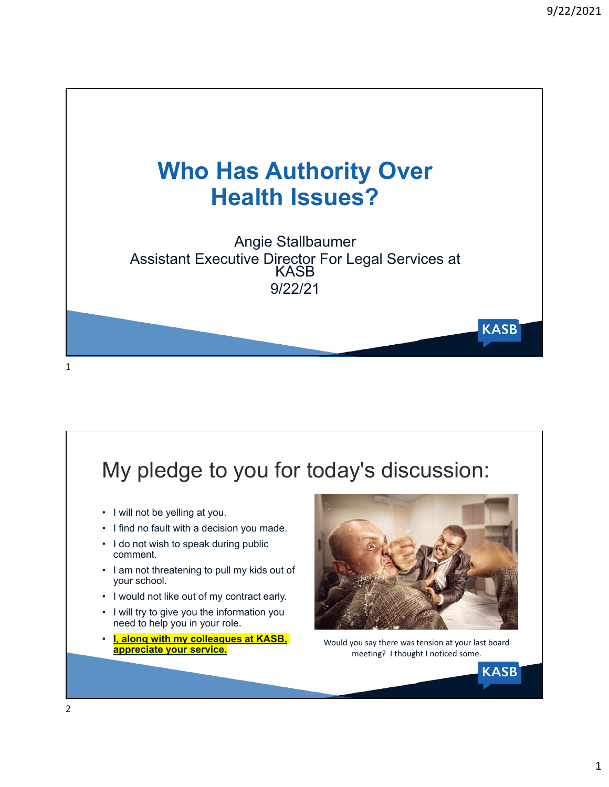

### My pledge to you for today's discussion: • I will not be yelling at you. • I find no fault with a decision you made. • I do not wish to speak during public comment. • I am not threatening to pull my kids out of your school. • I would not like out of my contract early. • I will try to give you the information you need to help you in your role. • **I, along with my colleagues at KASB,**  Would you say there was tension at your last board meeting? I thought I noticed some. **KASB**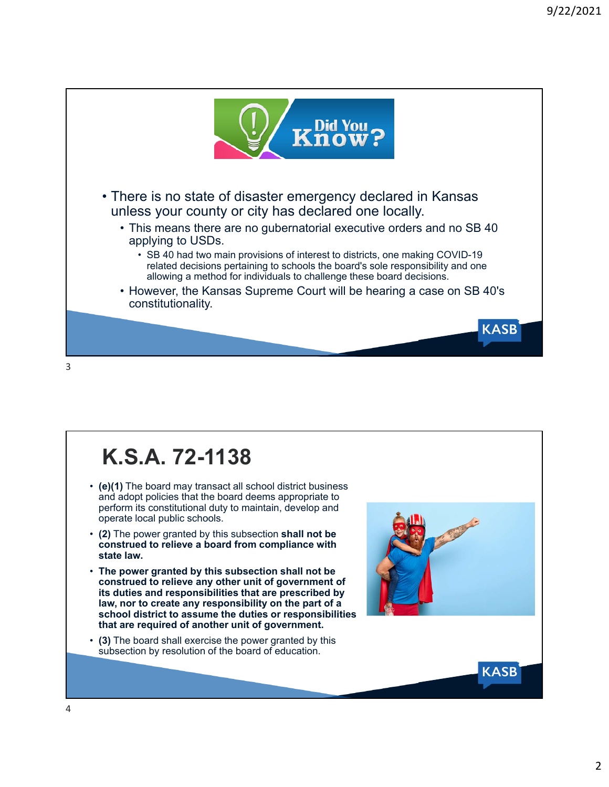

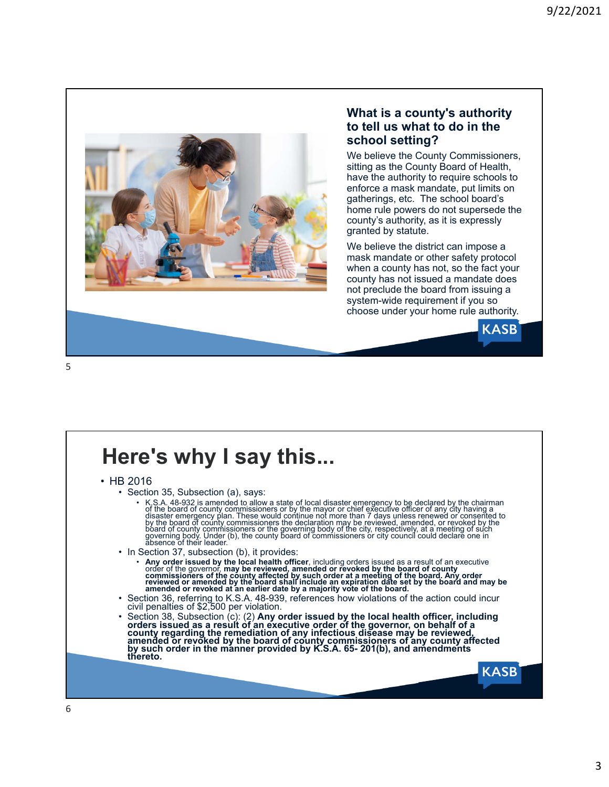

#### **What is a county's authority to tell us what to do in the school setting?**

We believe the County Commissioners, sitting as the County Board of Health, have the authority to require schools to enforce a mask mandate, put limits on gatherings, etc. The school board's home rule powers do not supersede the county's authority, as it is expressly granted by statute.

We believe the district can impose a mask mandate or other safety protocol when a county has not, so the fact your county has not issued a mandate does not preclude the board from issuing a system-wide requirement if you so choose under your home rule authority.



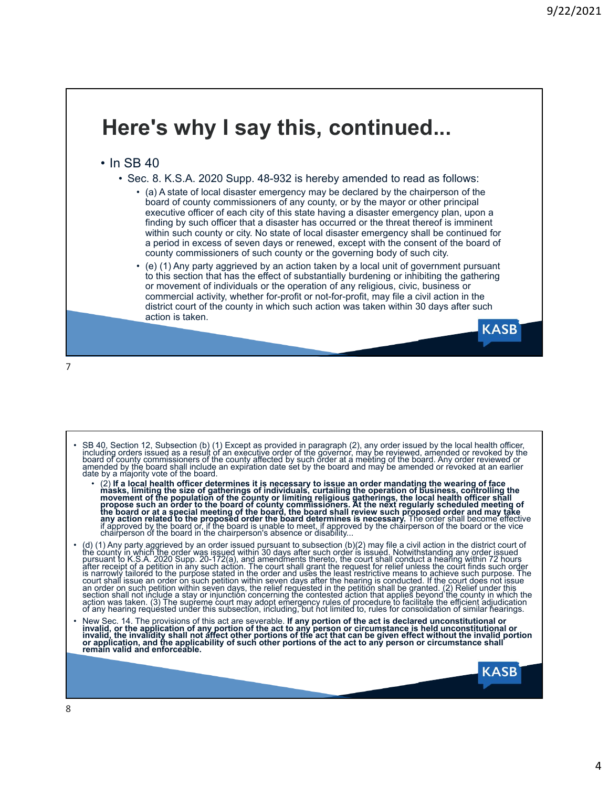### **Here's why I say this, continued...** • In SB 40 • Sec. 8. K.S.A. 2020 Supp. 48-932 is hereby amended to read as follows: • (a) A state of local disaster emergency may be declared by the chairperson of the board of county commissioners of any county, or by the mayor or other principal executive officer of each city of this state having a disaster emergency plan, upon a finding by such officer that a disaster has occurred or the threat thereof is imminent within such county or city. No state of local disaster emergency shall be continued for a period in excess of seven days or renewed, except with the consent of the board of county commissioners of such county or the governing body of such city. • (e) (1) Any party aggrieved by an action taken by a local unit of government pursuant to this section that has the effect of substantially burdening or inhibiting the gathering or movement of individuals or the operation of any religious, civic, business or commercial activity, whether for-profit or not-for-profit, may file a civil action in the district court of the county in which such action was taken within 30 days after such action is taken. **KASB**

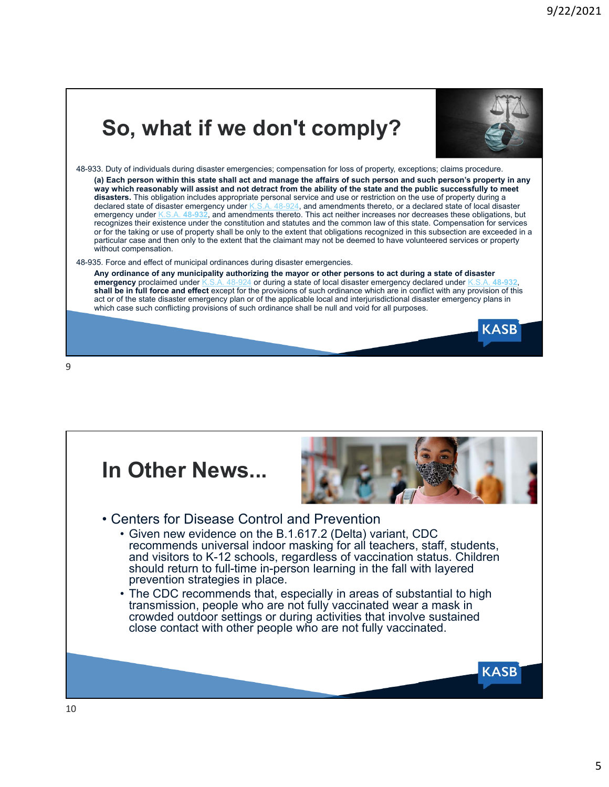# **So, what if we don't comply?**



**KASB** 

48-933. Duty of individuals during disaster emergencies; compensation for loss of property, exceptions; claims procedure. **(a) Each person within this state shall act and manage the affairs of such person and such person's property in any way which reasonably will assist and not detract from the ability of the state and the public successfully to meet**  disasters. This obligation includes appropriate personal service and use or restriction on the use of property during a declared state of disaster emergency under K.S.A. 48-924, and amendments thereto, or a declared state A. 48-924, and amendments thereto, or a declared state of local disaster emergency under K.S.A. **48-932**, and amendments thereto. This act neither increases nor decreases these obligations, but recognizes their existence under the constitution and statutes and the common law of this state. Compensation for services or for the taking or use of property shall be only to the extent that obligations recognized in this subsection are exceeded in a particular case and then only to the extent that the claimant may not be deemed to have volunteered services or property without compensation

#### 48-935. Force and effect of municipal ordinances during disaster emergencies.

**Any ordinance of any municipality authorizing the mayor or other persons to act during a state of disaster emergency** proclaimed under K.S.A. 48-924 or during a state of local disaster emergency declared under K.S.A. **48-932**, **shall be in full force and effect** except for the provisions of such ordinance which are in conflict with any provision of this act or of the state disaster emergency plan or of the applicable local and interjurisdictional disaster emergency plans in which case such conflicting provisions of such ordinance shall be null and void for all purposes.



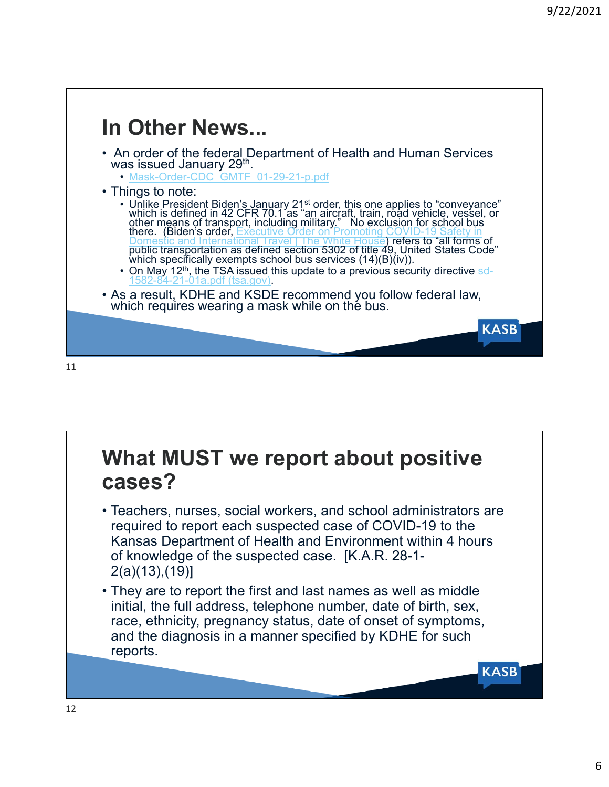

# **What MUST we report about positive cases?**

- Teachers, nurses, social workers, and school administrators are required to report each suspected case of COVID-19 to the Kansas Department of Health and Environment within 4 hours of knowledge of the suspected case. [K.A.R. 28-1- 2(a)(13),(19)]
- They are to report the first and last names as well as middle initial, the full address, telephone number, date of birth, sex, race, ethnicity, pregnancy status, date of onset of symptoms, and the diagnosis in a manner specified by KDHE for such reports.

**KASB**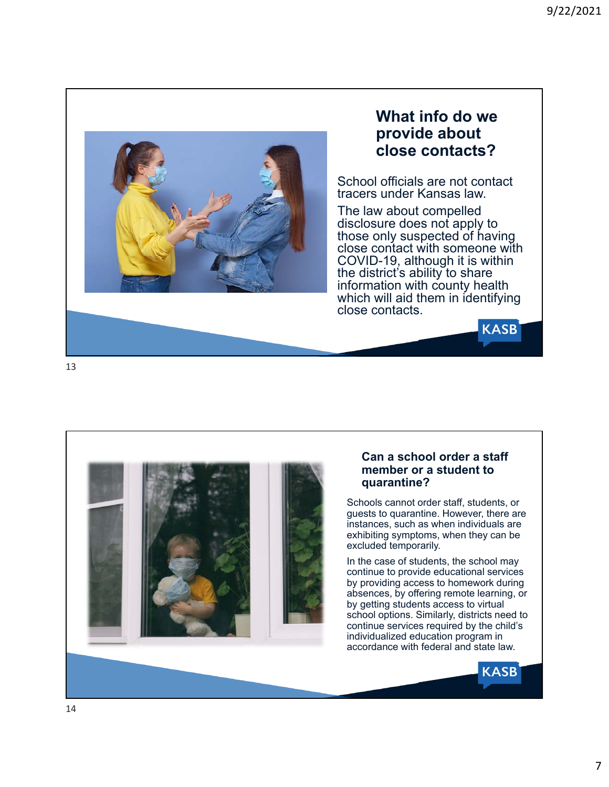

### **What info do we provide about close contacts?**

School officials are not contact tracers under Kansas law.

The law about compelled disclosure does not apply to those only suspected of having close contact with someone with COVID-19, although it is within the district's ability to share information with county health which will aid them in identifying close contacts.

**KASB** 

**KASB** 





#### **Can a school order a staff member or a student to quarantine?**

Schools cannot order staff, students, or guests to quarantine. However, there are instances, such as when individuals are exhibiting symptoms, when they can be excluded temporarily.

In the case of students, the school may continue to provide educational services by providing access to homework during absences, by offering remote learning, or by getting students access to virtual school options. Similarly, districts need to continue services required by the child's individualized education program in accordance with federal and state law.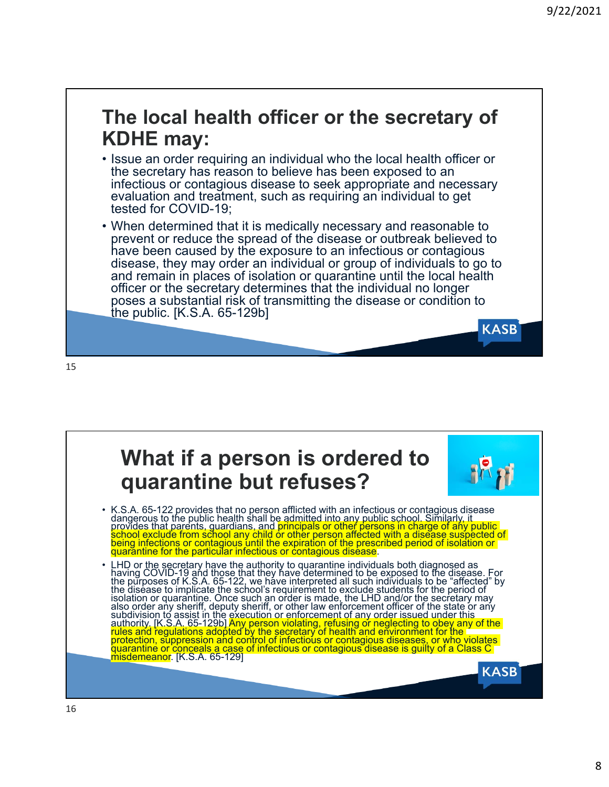**KASB** 

## **The local health officer or the secretary of KDHE may:**

- Issue an order requiring an individual who the local health officer or the secretary has reason to believe has been exposed to an infectious or contagious disease to seek appropriate and necessary evaluation and treatment, such as requiring an individual to get tested for COVID-19;
- When determined that it is medically necessary and reasonable to prevent or reduce the spread of the disease or outbreak believed to have been caused by the exposure to an infectious or contagious disease, they may order an individual or group of individuals to go to and remain in places of isolation or quarantine until the local health officer or the secretary determines that the individual no longer poses a substantial risk of transmitting the disease or condition to the public. [K.S.A. 65-129b]

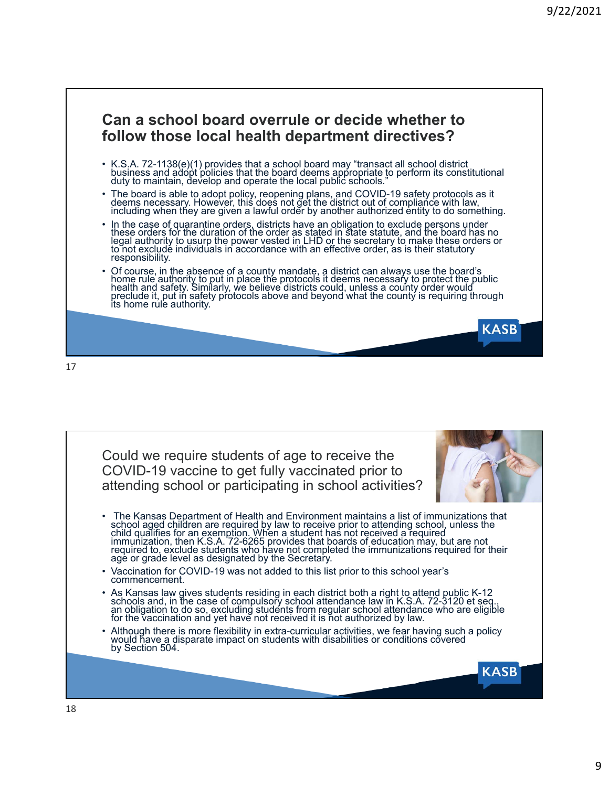**KASB** 

### **Can a school board overrule or decide whether to follow those local health department directives?**

- K.S.A. 72-1138(e)(1) provides that a school board may "transact all school district business and adоpt policies that the board deems appropriate to perform its constitutional<br>duty to maintain, develop and operate the local public schools."
- The board is able to adopt policy, reopening plans, and COVID-19 safety protocols as it<br>deems necessary. However, this does not get the district out of compliance with law,<br>including when they are given a lawful order by
- In the case of quarantine orders, districts have an obligation to exclude persons under these orders for the duration of the order as stated in state statute, and the board has no legal authority to usurp the power veste
- Of course, in the absence of a county mandate, a district can always use the board's<br>home rule authority to put in place the protocols it deems necessary to protect the public<br>health and safety. Similarly, we believe distr

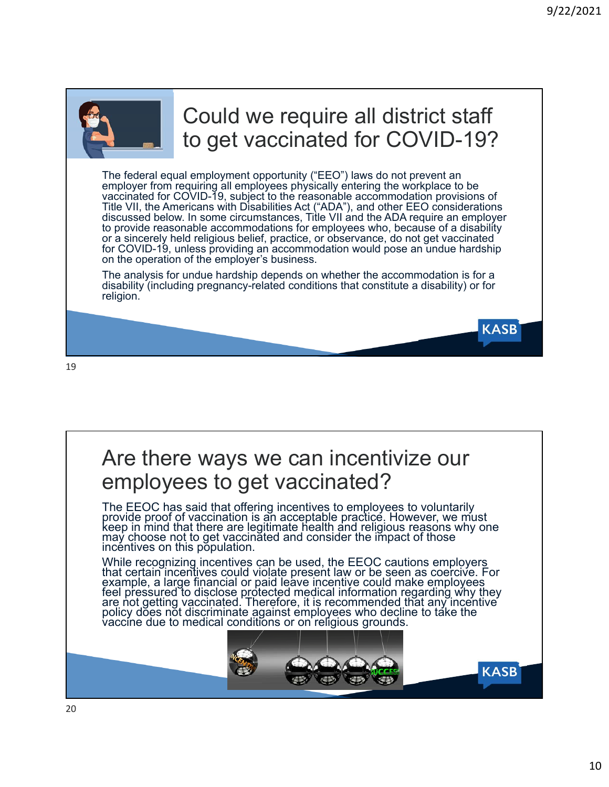**KASB** 



# Could we require all district staff to get vaccinated for COVID-19?

The federal equal employment opportunity ("EEO") laws do not prevent an employer from requiring all employees physically entering the workplace to be vaccinated for COVID-19, subject to the reasonable accommodation provisions of Title VII, the Americans with Disabilities Act ("ADA"), and other EEO considerations discussed below. In some circumstances, Title VII and the ADA require an employer to provide reasonable accommodations for employees who, because of a disability or a sincerely held religious belief, practice, or observance, do not get vaccinated for COVID-19, unless providing an accommodation would pose an undue hardship on the operation of the employer's business.

The analysis for undue hardship depends on whether the accommodation is for a disability (including pregnancy-related conditions that constitute a disability) or for religion.

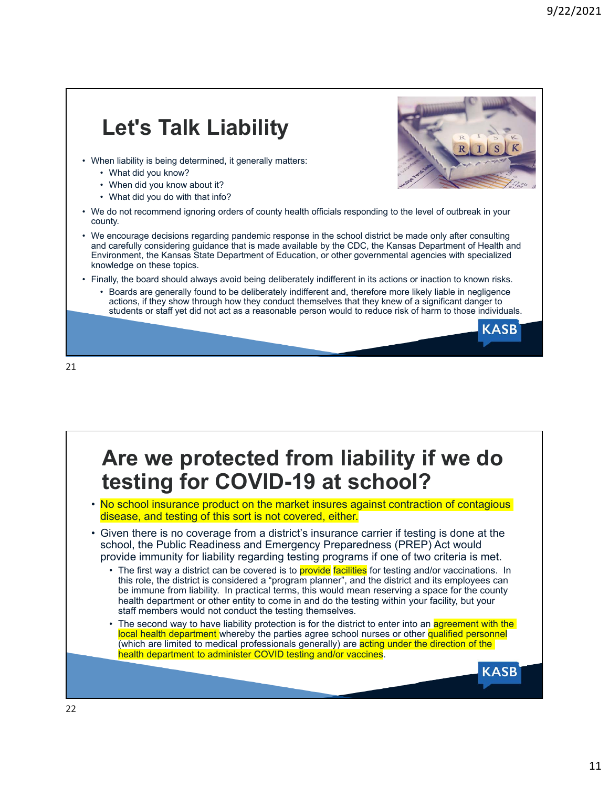# **Let's Talk Liability**

- When liability is being determined, it generally matters:
	- What did you know?
	- When did you know about it?
	- What did you do with that info?
- We do not recommend ignoring orders of county health officials responding to the level of outbreak in your county.
- We encourage decisions regarding pandemic response in the school district be made only after consulting and carefully considering guidance that is made available by the CDC, the Kansas Department of Health and Environment, the Kansas State Department of Education, or other governmental agencies with specialized knowledge on these topics.
- Finally, the board should always avoid being deliberately indifferent in its actions or inaction to known risks.
	- Boards are generally found to be deliberately indifferent and, therefore more likely liable in negligence actions, if they show through how they conduct themselves that they knew of a significant danger to students or staff yet did not act as a reasonable person would to reduce risk of harm to those individuals.

21

## **Are we protected from liability if we do testing for COVID-19 at school?**

- No school insurance product on the market insures against contraction of contagious disease, and testing of this sort is not covered, either.
- Given there is no coverage from a district's insurance carrier if testing is done at the school, the Public Readiness and Emergency Preparedness (PREP) Act would provide immunity for liability regarding testing programs if one of two criteria is met.
	- The first way a district can be covered is to **provide facilities** for testing and/or vaccinations. In this role, the district is considered a "program planner", and the district and its employees can be immune from liability. In practical terms, this would mean reserving a space for the county health department or other entity to come in and do the testing within your facility, but your staff members would not conduct the testing themselves.
	- The second way to have liability protection is for the district to enter into an agreement with the local health department whereby the parties agree school nurses or other qualified personnel (which are limited to medical professionals generally) are acting under the direction of the health department to administer COVID testing and/or vaccines.



**KASB** 

**KASB**